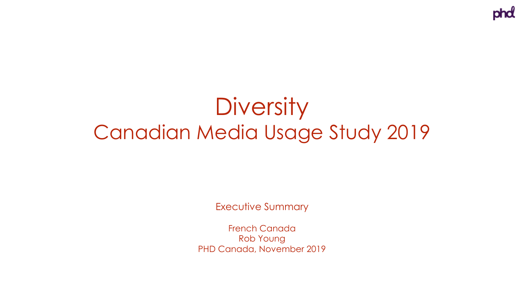# **Diversity** Canadian Media Usage Study 2019

Executive Summary

French Canada Rob Young PHD Canada, November 2019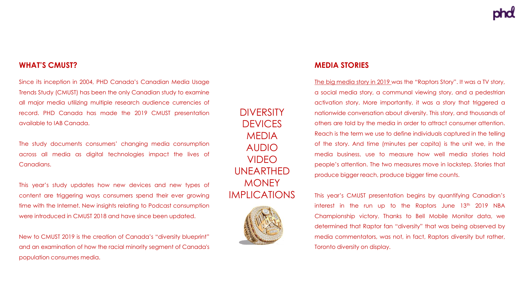#### **WHAT'S CMUST?**

Since its inception in 2004, PHD Canada's Canadian Media Usage Trends Study (CMUST) has been the only Canadian study to examine all major media utilizing multiple research audience currencies of record. PHD Canada has made the 2019 CMUST presentation available to IAB Canada.

The study documents consumers' changing media consumption across all media as digital technologies impact the lives of Canadians.

This year's study updates how new devices and new types of content are triggering ways consumers spend their ever growing time with the Internet. New insights relating to Podcast consumption were introduced in CMUST 2018 and have since been updated.

New to CMUST 2019 is the creation of Canada's "diversity blueprint" and an examination of how the racial minority segment of Canada's population consumes media.

DIVERSITY **DEVICES** MEDIA AUDIO VIDEO UNEARTHED **MONEY** IMPLICATIONS



#### **MEDIA STORIES**

The big media story in 2019 was the "Raptors Story". It was a TV story, a social media story, a communal viewing story, and a pedestrian activation story. More importantly, it was a story that triggered a nationwide conversation about diversity. This story, and thousands of others are told by the media in order to attract consumer attention. Reach is the term we use to define individuals captured in the telling of the story. And time (minutes per capita) is the unit we, in the media business, use to measure how well media stories hold people's attention. The two measures move in lockstep. Stories that produce bigger reach, produce bigger time counts.

This year's CMUST presentation begins by quantifying Canadian's interest in the run up to the Raptors June 13<sup>th</sup> 2019 NBA Championship victory. Thanks to Bell Mobile Monitor data, we determined that Raptor fan "diversity" that was being observed by media commentators, was not, in fact, Raptors diversity but rather, Toronto diversity on display.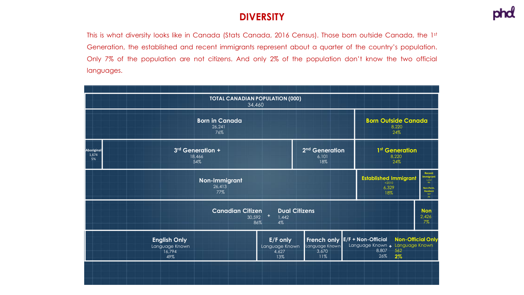#### **DIVERSITY**

This is what diversity looks like in Canada (Stats Canada, 2016 Census). Those born outside Canada, the 1st Generation, the established and recent immigrants represent about a quarter of the country's population. Only 7% of the population are not citizens. And only 2% of the population don't know the two official languages.

| <b>TOTAL CANADIAN POPULATION (000)</b><br>34,460                                                                    |                                                        |                                            |                                                                  |                                                                                                                                                            |  |  |  |  |  |
|---------------------------------------------------------------------------------------------------------------------|--------------------------------------------------------|--------------------------------------------|------------------------------------------------------------------|------------------------------------------------------------------------------------------------------------------------------------------------------------|--|--|--|--|--|
|                                                                                                                     | <b>Born in Canada</b><br>26.241<br>76%                 | <b>Born Outside Canada</b><br>8.220<br>24% |                                                                  |                                                                                                                                                            |  |  |  |  |  |
| Aboriginal<br>1,674<br>5%                                                                                           | 3rd Generation +<br>18,466<br>54%                      |                                            | 2 <sup>nd</sup> Generation<br>6,101<br>18%                       | 1 <sup>st</sup> Generation<br>8,220<br>24%                                                                                                                 |  |  |  |  |  |
|                                                                                                                     | Non-Immigrant<br>26,413<br>77%                         |                                            |                                                                  | Recent<br><b>Immigrant</b><br><b>Established Immigrant</b><br>1,212<br>< 2010<br>4%<br>6.329<br>Non-Perm.<br>${\bf Resident} \atop {\bf 507}$<br>18%<br>2% |  |  |  |  |  |
| <b>Dual Citizens</b><br><b>Canadian Citizen</b><br><b>Non</b><br>$30,592$ +<br>2,426<br>1,442<br>7%<br>86%<br>$4\%$ |                                                        |                                            |                                                                  |                                                                                                                                                            |  |  |  |  |  |
|                                                                                                                     | <b>English Only</b><br>Language Known<br>16,794<br>49% | E/F only<br>Language Known<br>4,627<br>13% | French only E/F + Non-Official<br>Language Known<br>3,670<br>11% | <b>Non-Official Only</b><br>Language Known + Language Known<br>8,807<br>562<br>26%<br>$2\%$                                                                |  |  |  |  |  |
|                                                                                                                     |                                                        |                                            |                                                                  |                                                                                                                                                            |  |  |  |  |  |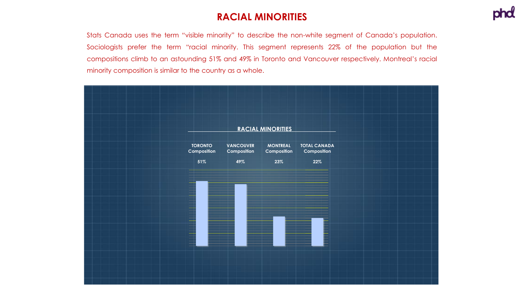#### **RACIAL MINORITIES**

Stats Canada uses the term "visible minority" to describe the non-white segment of Canada's population. Sociologists prefer the term "racial minority. This segment represents 22% of the population but the compositions climb to an astounding 51% and 49% in Toronto and Vancouver respectively. Montreal's racial minority composition is similar to the country as a whole.

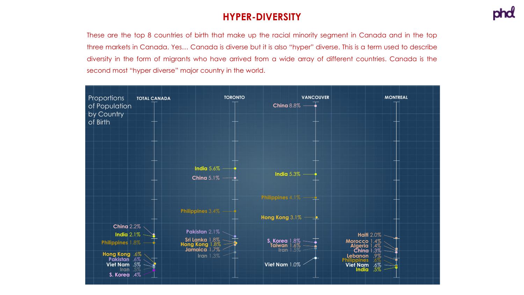# **HYPER-DIVERSITY**

These are the top 8 countries of birth that make up the racial minority segment in Canada and in the top three markets in Canada. Yes… Canada is diverse but it is also "hyper" diverse. This is a term used to describe diversity in the form of migrants who have arrived from a wide array of different countries. Canada is the second most "hyper diverse" major country in the world.

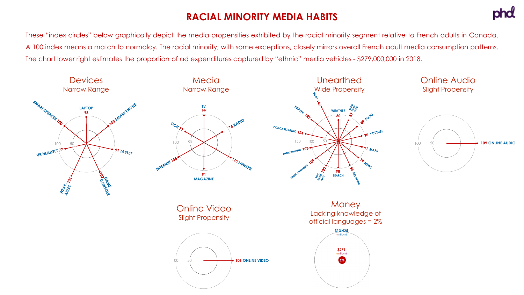# **RACIAL MINORITY MEDIA HABITS**



These "index circles" below graphically depict the media propensities exhibited by the racial minority segment relative to French adults in Canada. A 100 index means a match to normalcy. The racial minority, with some exceptions, closely mirrors overall French adult media consumption patterns. The chart lower right estimates the proportion of ad expenditures captured by "ethnic" media vehicles - \$279,000,000 in 2018.

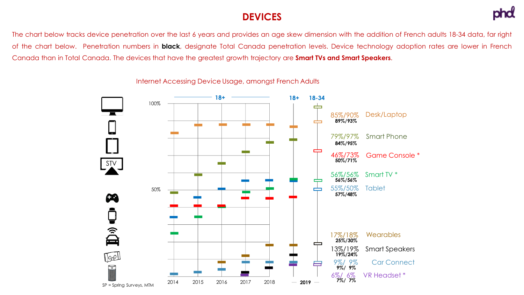#### **DEVICES**



The chart below tracks device penetration over the last 6 years and provides an age skew dimension with the addition of French adults 18-34 data, far right of the chart below. Penetration numbers in **black**, designate Total Canada penetration levels. Device technology adoption rates are lower in French Canada than in Total Canada. The devices that have the greatest growth trajectory are **Smart TVs and Smart Speakers**.



Internet Accessing Device Usage, amongst French Adults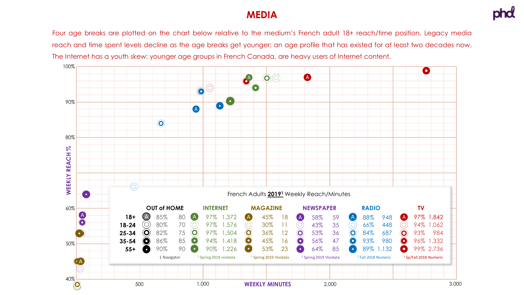#### **MEDIA**

Four age breaks are plotted on the chart below relative to the medium's French adult 18+ reach/time position. Legacy media reach and time spent levels decline as the age breaks get younger; an age profile that has existed for at least two decades now. The Internet has a youth skew; younger age groups in French Canada, are heavy users of Internet content.

![](_page_7_Figure_3.jpeg)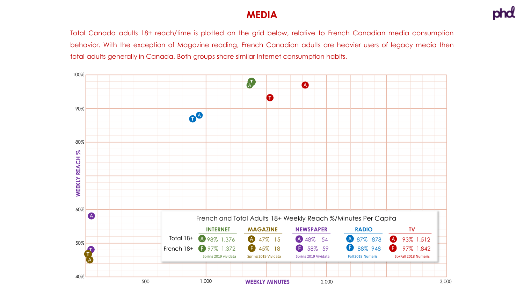#### **MEDIA**

Total Canada adults 18+ reach/time is plotted on the grid below, relative to French Canadian media consumption behavior. With the exception of Magazine reading, French Canadian adults are heavier users of legacy media then total adults generally in Canada. Both groups share similar Internet consumption habits.

![](_page_8_Figure_3.jpeg)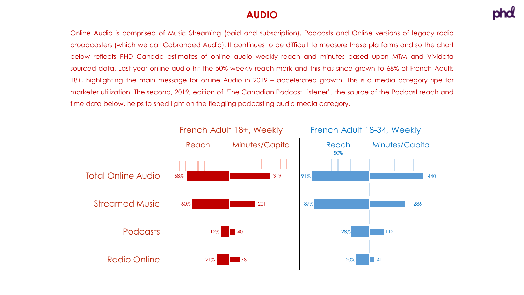#### **AUDIO**

Online Audio is comprised of Music Streaming (paid and subscription), Podcasts and Online versions of legacy radio broadcasters (which we call Cobranded Audio). It continues to be difficult to measure these platforms and so the chart below reflects PHD Canada estimates of online audio weekly reach and minutes based upon MTM and Vividata sourced data. Last year online audio hit the 50% weekly reach mark and this has since grown to 68% of French Adults 18+, highlighting the main message for online Audio in 2019 – accelerated growth. This is a media category ripe for marketer utilization. The second, 2019, edition of "The Canadian Podcast Listener", the source of the Podcast reach and time data below, helps to shed light on the fledgling podcasting audio media category.

![](_page_9_Figure_3.jpeg)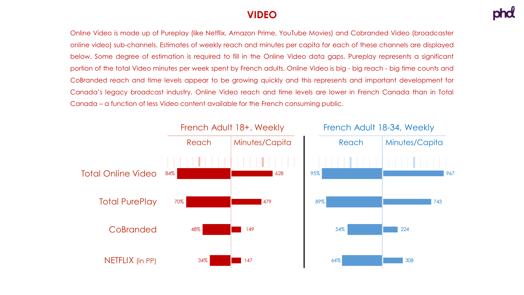#### **VIDEO**

Online Video is made up of Pureplay (like Netflix, Amazon Prime, YouTube Movies) and Cobranded Video (broadcaster online video) sub-channels. Estimates of weekly reach and minutes per capita for each of these channels are displayed below. Some degree of estimation is required to fill in the Online Video data gaps. Pureplay represents a significant portion of the total Video minutes per week spent by French adults. Online Video is big - big reach - big time counts and CoBranded reach and time levels appear to be growing quickly and this represents and important development for Canada's legacy broadcast industry. Online Video reach and time levels are lower in French Canada than in Total Canada – a function of less Video content available for the French consuming public.

![](_page_10_Figure_3.jpeg)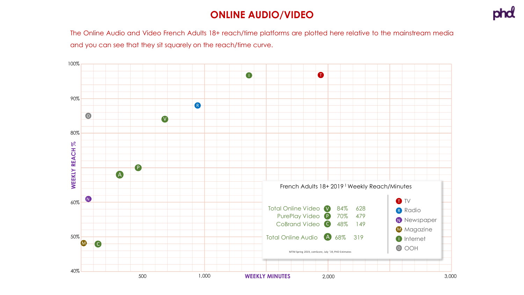### **ONLINE AUDIO/VIDEO**

The Online Audio and Video French Adults 18+ reach/time platforms are plotted here relative to the mainstream media and you can see that they sit squarely on the reach/time curve.

![](_page_11_Figure_3.jpeg)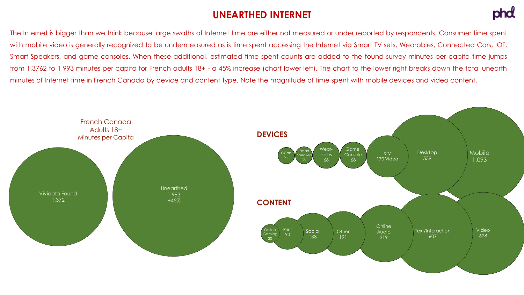#### **UNEARTHED INTERNET**

![](_page_12_Picture_1.jpeg)

The Internet is bigger than we think because large swaths of Internet time are either not measured or under reported by respondents. Consumer time spent with mobile video is generally recognized to be undermeasured as is time spent accessing the Internet via Smart TV sets, Wearables, Connected Cars, IOT, Smart Speakers, and game consoles. When these additional, estimated time spent counts are added to the found survey minutes per capita time jumps from 1,3762 to 1,993 minutes per capita for French adults 18+ - a 45% increase (chart lower left). The chart to the lower right breaks down the total unearth minutes of Internet time in French Canada by device and content type. Note the magnitude of time spent with mobile devices and video content.

![](_page_12_Figure_3.jpeg)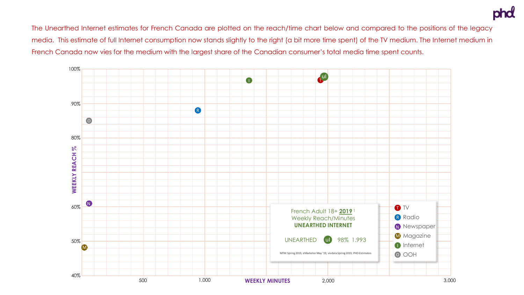The Unearthed Internet estimates for French Canada are plotted on the reach/time chart below and compared to the positions of the legacy media. This estimate of full Internet consumption now stands slightly to the right (a bit more time spent) of the TV medium. The Internet medium in French Canada now vies for the medium with the largest share of the Canadian consumer's total media time spent counts.

![](_page_13_Figure_2.jpeg)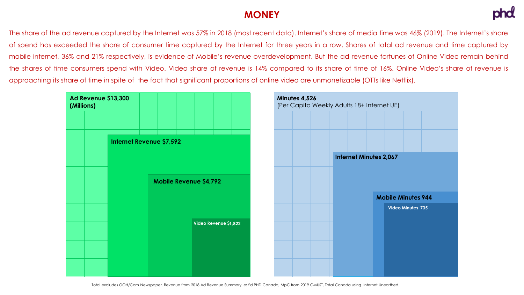#### **MONEY**

The share of the ad revenue captured by the Internet was 57% in 2018 (most recent data). Internet's share of media time was 46% (2019). The Internet's share of spend has exceeded the share of consumer time captured by the Internet for three years in a row. Shares of total ad revenue and time captured by mobile internet, 36% and 21% respectively, is evidence of Mobile's revenue overdevelopment. But the ad revenue fortunes of Online Video remain behind the shares of time consumers spend with Video. Video share of revenue is 14% compared to its share of time of 16%. Online Video's share of revenue is approaching its share of time in spite of the fact that significant proportions of online video are unmonetizable (OTTs like Netflix).

| Ad Revenue \$13,300<br>(Millions) |  |  |  | Minutes 4,526<br>(Per Capita Weekly Adults 18+ Internet UE) |  |                       |  |  |  |  |  |  |  |                               |                   |  |  |
|-----------------------------------|--|--|--|-------------------------------------------------------------|--|-----------------------|--|--|--|--|--|--|--|-------------------------------|-------------------|--|--|
|                                   |  |  |  |                                                             |  |                       |  |  |  |  |  |  |  |                               |                   |  |  |
|                                   |  |  |  | <b>Internet Revenue \$7,592</b>                             |  |                       |  |  |  |  |  |  |  |                               |                   |  |  |
|                                   |  |  |  |                                                             |  |                       |  |  |  |  |  |  |  | <b>Internet Minutes 2,067</b> |                   |  |  |
|                                   |  |  |  | <b>Mobile Revenue \$4,792</b>                               |  |                       |  |  |  |  |  |  |  |                               |                   |  |  |
|                                   |  |  |  |                                                             |  |                       |  |  |  |  |  |  |  | <b>Mobile Minutes 944</b>     |                   |  |  |
|                                   |  |  |  |                                                             |  |                       |  |  |  |  |  |  |  |                               | Video Minutes 735 |  |  |
|                                   |  |  |  |                                                             |  | Video Revenue \$1,822 |  |  |  |  |  |  |  |                               |                   |  |  |
|                                   |  |  |  |                                                             |  |                       |  |  |  |  |  |  |  |                               |                   |  |  |
|                                   |  |  |  |                                                             |  |                       |  |  |  |  |  |  |  |                               |                   |  |  |
|                                   |  |  |  |                                                             |  |                       |  |  |  |  |  |  |  |                               |                   |  |  |

Total excludes OOH/Com Newspaper. Revenue from 2018 Ad Revenue Summary est'd PHD Canada, MpC from 2019 CMUST, Total Canada using Internet Unearthed.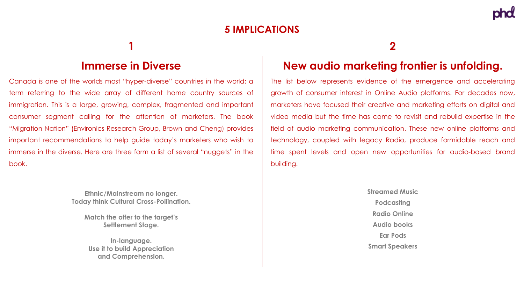# **5 IMPLICATIONS**

### **1**

#### **Immerse in Diverse**

Canada is one of the worlds most "hyper-diverse" countries in the world; a term referring to the wide array of different home country sources of immigration. This is a large, growing, complex, fragmented and important consumer segment calling for the attention of marketers. The book "Migration Nation" (Environics Research Group, Brown and Cheng) provides important recommendations to help guide today's marketers who wish to immerse in the diverse. Here are three form a list of several "nuggets" in the book.

> **Ethnic/Mainstream no longer. Today think Cultural Cross-Pollination.**

**Match the offer to the target's Settlement Stage.**

**In-language. Use it to build Appreciation and Comprehension.**

#### **2**

# **New audio marketing frontier is unfolding.**

The list below represents evidence of the emergence and accelerating growth of consumer interest in Online Audio platforms. For decades now, marketers have focused their creative and marketing efforts on digital and video media but the time has come to revisit and rebuild expertise in the field of audio marketing communication. These new online platforms and technology, coupled with legacy Radio, produce formidable reach and time spent levels and open new opportunities for audio-based brand building.

> **Streamed Music Podcasting Radio Online Audio books Ear Pods Smart Speakers**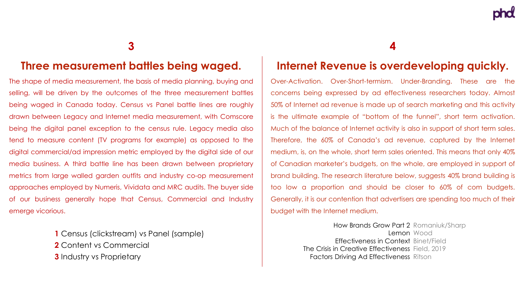#### **3**

#### **Three measurement battles being waged.**

The shape of media measurement, the basis of media planning, buying and selling, will be driven by the outcomes of the three measurement battles being waged in Canada today. Census vs Panel battle lines are roughly drawn between Legacy and Internet media measurement, with Comscore being the digital panel exception to the census rule. Legacy media also tend to measure content (TV programs for example) as opposed to the digital commercial/ad impression metric employed by the digital side of our media business. A third battle line has been drawn between proprietary metrics from large walled garden outfits and industry co-op measurement approaches employed by Numeris, Vividata and MRC audits. The buyer side of our business generally hope that Census, Commercial and Industry emerge vicorious.

> **1** Census (clickstream) vs Panel (sample) **2** Content vs Commercial **3** Industry vs Proprietary

**4**

#### **Internet Revenue is overdeveloping quickly.**

Over-Activation. Over-Short-termism. Under-Branding. These are the concerns being expressed by ad effectiveness researchers today. Almost 50% of Internet ad revenue is made up of search marketing and this activity is the ultimate example of "bottom of the funnel", short term activation. Much of the balance of Internet activity is also in support of short term sales. Therefore, the 60% of Canada's ad revenue, captured by the Internet medium, is, on the whole, short term sales oriented. This means that only 40% of Canadian marketer's budgets, on the whole, are employed in support of brand building. The research literature below, suggests 40% brand building is too low a proportion and should be closer to 60% of com budgets. Generally, it is our contention that advertisers are spending too much of their budget with the Internet medium.

> How Brands Grow Part 2 Romaniuk/Sharp Lemon Wood Effectiveness in Context Binet/Field The Crisis in Creative Effectiveness Field, 2019 Factors Driving Ad Effectiveness Ritson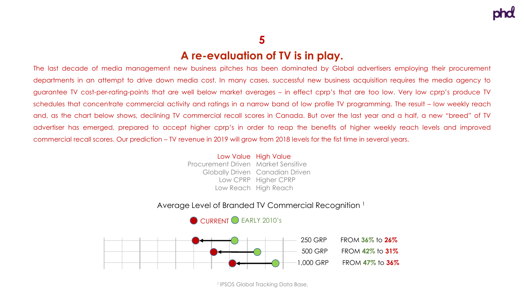## **5**

#### **A re-evaluation of TV is in play.**

The last decade of media management new business pitches has been dominated by Global advertisers employing their procurement departments in an attempt to drive down media cost. In many cases, successful new business acquisition requires the media agency to guarantee TV cost-per-rating-points that are well below market averages – in effect cprp's that are too low. Very low cprp's produce TV schedules that concentrate commercial activity and ratings in a narrow band of low profile TV programming. The result – low weekly reach and, as the chart below shows, declining TV commercial recall scores in Canada. But over the last year and a half, a new "breed" of TV advertiser has emerged, prepared to accept higher cprp's in order to reap the benefits of higher weekly reach levels and improved commercial recall scores. Our prediction – TV revenue in 2019 will grow from 2018 levels for the fist time in several years.

#### Low Value High Value Procurement Driven Market Sensitive

Globally Driven Canadian Driven Low CPRP Higher CPRP Low Reach High Reach

#### Average Level of Branded TV Commercial Recognition <sup>1</sup>

![](_page_17_Figure_7.jpeg)

![](_page_17_Figure_8.jpeg)

<sup>1</sup> IPSOS Global Tracking Data Base.